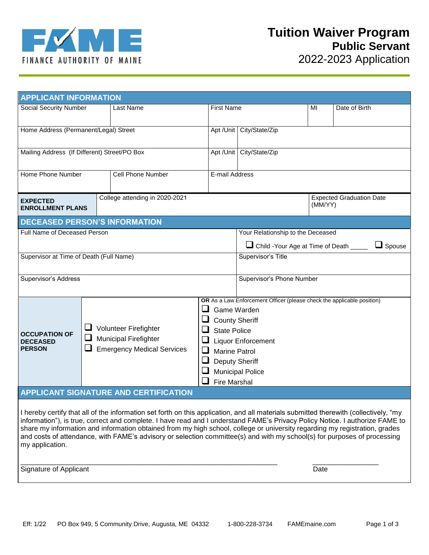

| <b>APPLICANT INFORMATION</b>                             |                                |                                                                                                                                                                                                                                                                                                                                                                          |                                            |                                                          |  |               |  |
|----------------------------------------------------------|--------------------------------|--------------------------------------------------------------------------------------------------------------------------------------------------------------------------------------------------------------------------------------------------------------------------------------------------------------------------------------------------------------------------|--------------------------------------------|----------------------------------------------------------|--|---------------|--|
| Social Security Number                                   |                                | Last Name                                                                                                                                                                                                                                                                                                                                                                |                                            | <b>First Name</b>                                        |  | Date of Birth |  |
| Home Address (Permanent/Legal) Street                    |                                |                                                                                                                                                                                                                                                                                                                                                                          |                                            | Apt /Unit City/State/Zip                                 |  |               |  |
| Mailing Address (If Different) Street/PO Box             |                                |                                                                                                                                                                                                                                                                                                                                                                          | Apt /Unit                                  | City/State/Zip                                           |  |               |  |
| Home Phone Number                                        |                                | <b>Cell Phone Number</b>                                                                                                                                                                                                                                                                                                                                                 | E-mail Address                             |                                                          |  |               |  |
| <b>EXPECTED</b><br><b>ENROLLMENT PLANS</b>               | College attending in 2020-2021 |                                                                                                                                                                                                                                                                                                                                                                          | <b>Expected Graduation Date</b><br>(MM/YY) |                                                          |  |               |  |
| <b>DECEASED PERSON'S INFORMATION</b>                     |                                |                                                                                                                                                                                                                                                                                                                                                                          |                                            |                                                          |  |               |  |
| Full Name of Deceased Person                             |                                |                                                                                                                                                                                                                                                                                                                                                                          |                                            | Your Relationship to the Deceased                        |  |               |  |
|                                                          |                                |                                                                                                                                                                                                                                                                                                                                                                          |                                            | Child - Your Age at Time of Death _____<br>$\Box$ Spouse |  |               |  |
| Supervisor at Time of Death (Full Name)                  |                                |                                                                                                                                                                                                                                                                                                                                                                          |                                            | Supervisor's Title                                       |  |               |  |
| <b>Supervisor's Address</b>                              |                                |                                                                                                                                                                                                                                                                                                                                                                          |                                            | Supervisor's Phone Number                                |  |               |  |
| <b>OCCUPATION OF</b><br><b>DECEASED</b><br><b>PERSON</b> | ⊔                              | OR As a Law Enforcement Officer (please check the applicable position)<br>Game Warden<br><b>County Sheriff</b><br>Volunteer Firefighter<br><b>State Police</b><br><b>Municipal Firefighter</b><br><b>Liquor Enforcement</b><br><b>Emergency Medical Services</b><br>⊔<br><b>Marine Patrol</b><br><b>Deputy Sheriff</b><br><b>Municipal Police</b><br><b>Fire Marshal</b> |                                            |                                                          |  |               |  |
| <b>APPLICANT SIGNATURE AND CERTIFICATION</b>             |                                |                                                                                                                                                                                                                                                                                                                                                                          |                                            |                                                          |  |               |  |
|                                                          |                                |                                                                                                                                                                                                                                                                                                                                                                          |                                            |                                                          |  |               |  |

I hereby certify that all of the information set forth on this application, and all materials submitted therewith (collectively, "my information"), is true, correct and complete. I have read and I understand FAME's Privacy Policy Notice. I authorize FAME to share my information and information obtained from my high school, college or university regarding my registration, grades and costs of attendance, with FAME's advisory or selection committee(s) and with my school(s) for purposes of processing my application.

Signature of Applicant Date of Applicant Date of Applicant Date of Applicant Date of Applicant Date of Applicant Date of Applicant Date of Applicant Date of Applicant Date of Applicant Date of Applicant Date of Applicant D

\_\_\_\_\_\_\_\_\_\_\_\_\_\_\_\_\_\_\_\_\_\_\_\_\_\_\_\_\_\_\_\_\_\_\_\_\_\_\_\_\_\_\_\_\_\_\_\_\_\_\_\_\_\_\_\_\_\_\_\_\_\_\_\_\_\_ \_\_\_\_\_\_\_\_\_\_\_\_\_\_\_\_\_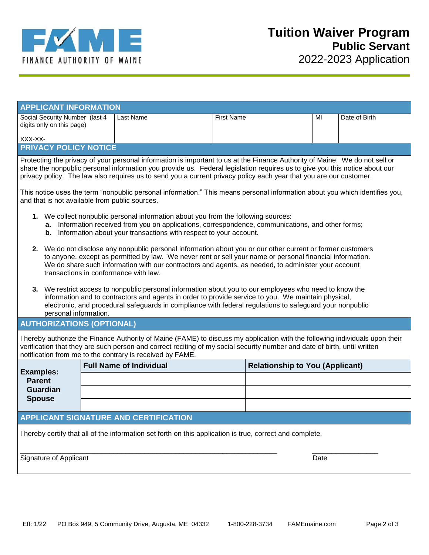

| <b>APPLICANT INFORMATION</b>                                |           |                   |    |               |  |  |  |
|-------------------------------------------------------------|-----------|-------------------|----|---------------|--|--|--|
| Social Security Number (last 4<br>digits only on this page) | Last Name | <b>First Name</b> | MI | Date of Birth |  |  |  |
| XXX-XX-                                                     |           |                   |    |               |  |  |  |
| <b>PRIVACY POLICY NOTICE</b>                                |           |                   |    |               |  |  |  |

Protecting the privacy of your personal information is important to us at the Finance Authority of Maine. We do not sell or share the nonpublic personal information you provide us. Federal legislation requires us to give you this notice about our privacy policy. The law also requires us to send you a current privacy policy each year that you are our customer.

This notice uses the term "nonpublic personal information." This means personal information about you which identifies you, and that is not available from public sources.

- **1.** We collect nonpublic personal information about you from the following sources:
	- **a.** Information received from you on applications, correspondence, communications, and other forms;
	- **b.** Information about your transactions with respect to your account.
- **2.** We do not disclose any nonpublic personal information about you or our other current or former customers to anyone, except as permitted by law. We never rent or sell your name or personal financial information. We do share such information with our contractors and agents, as needed, to administer your account transactions in conformance with law.
- **3.** We restrict access to nonpublic personal information about you to our employees who need to know the information and to contractors and agents in order to provide service to you. We maintain physical, electronic, and procedural safeguards in compliance with federal regulations to safeguard your nonpublic personal information.

## **AUTHORIZATIONS (OPTIONAL)**

I hereby authorize the Finance Authority of Maine (FAME) to discuss my application with the following individuals upon their verification that they are such person and correct reciting of my social security number and date of birth, until written notification from me to the contrary is received by FAME.

| <b>Examples:</b><br><b>Parent</b><br>Guardian<br><b>Spouse</b> | <b>Full Name of Individual</b> | <b>Relationship to You (Applicant)</b> |  |  |  |
|----------------------------------------------------------------|--------------------------------|----------------------------------------|--|--|--|
|                                                                |                                |                                        |  |  |  |
|                                                                |                                |                                        |  |  |  |
|                                                                |                                |                                        |  |  |  |

## **APPLICANT SIGNATURE AND CERTIFICATION**

I hereby certify that all of the information set forth on this application is true, correct and complete.

Signature of Applicant Date of Applicant Date of Applicant Date of Applicant Date of Applicant Date of Applicant Date of Applicant Date of Applicant Date of Applicant Date of Applicant Date of Applicant Date of Applicant D

\_\_\_\_\_\_\_\_\_\_\_\_\_\_\_\_\_\_\_\_\_\_\_\_\_\_\_\_\_\_\_\_\_\_\_\_\_\_\_\_\_\_\_\_\_\_\_\_\_\_\_\_\_\_\_\_\_\_\_\_\_\_\_\_\_\_ \_\_\_\_\_\_\_\_\_\_\_\_\_\_\_\_\_